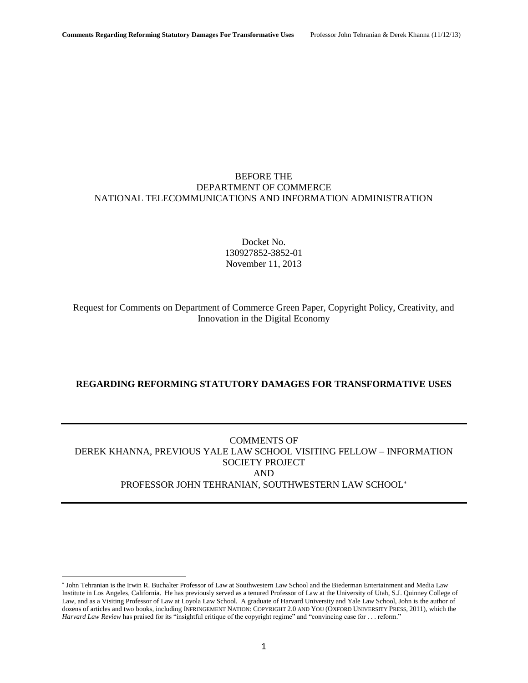# BEFORE THE DEPARTMENT OF COMMERCE NATIONAL TELECOMMUNICATIONS AND INFORMATION ADMINISTRATION

Docket No. 130927852-3852-01 November 11, 2013

Request for Comments on Department of Commerce Green Paper, Copyright Policy, Creativity, and Innovation in the Digital Economy

# **REGARDING REFORMING STATUTORY DAMAGES FOR TRANSFORMATIVE USES**

# COMMENTS OF DEREK KHANNA, PREVIOUS YALE LAW SCHOOL VISITING FELLOW – INFORMATION SOCIETY PROJECT AND PROFESSOR JOHN TEHRANIAN, SOUTHWESTERN LAW SCHOOL

<sup>\*</sup> John Tehranian is the Irwin R. Buchalter Professor of Law at Southwestern Law School and the Biederman Entertainment and Media Law Institute in Los Angeles, California. He has previously served as a tenured Professor of Law at the University of Utah, S.J. Quinney College of Law, and as a Visiting Professor of Law at Loyola Law School. A graduate of Harvard University and Yale Law School, John is the author of dozens of articles and two books, including INFRINGEMENT NATION: COPYRIGHT 2.0 AND YOU (OXFORD UNIVERSITY PRESS, 2011), which the *Harvard Law Review* has praised for its "insightful critique of the copyright regime" and "convincing case for . . . reform."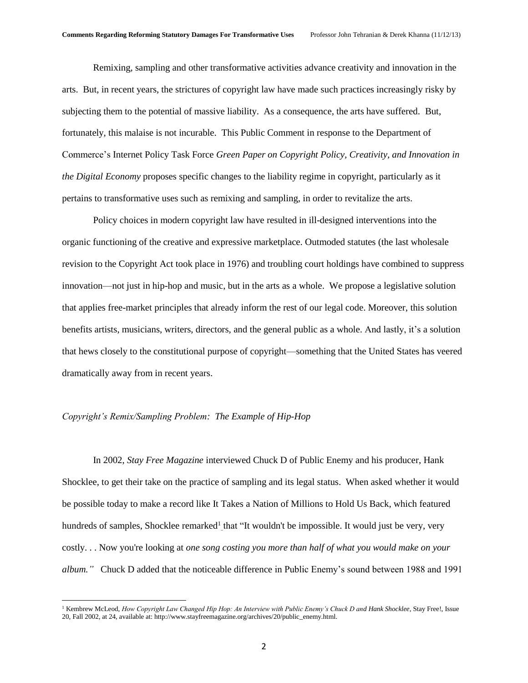Remixing, sampling and other transformative activities advance creativity and innovation in the arts. But, in recent years, the strictures of copyright law have made such practices increasingly risky by subjecting them to the potential of massive liability. As a consequence, the arts have suffered. But, fortunately, this malaise is not incurable. This Public Comment in response to the Department of Commerce's Internet Policy Task Force *Green Paper on Copyright Policy, Creativity, and Innovation in the Digital Economy* proposes specific changes to the liability regime in copyright, particularly as it pertains to transformative uses such as remixing and sampling, in order to revitalize the arts.

Policy choices in modern copyright law have resulted in ill-designed interventions into the organic functioning of the creative and expressive marketplace. Outmoded statutes (the last wholesale revision to the Copyright Act took place in 1976) and troubling court holdings have combined to suppress innovation—not just in hip-hop and music, but in the arts as a whole. We propose a legislative solution that applies free-market principles that already inform the rest of our legal code. Moreover, this solution benefits artists, musicians, writers, directors, and the general public as a whole. And lastly, it's a solution that hews closely to the constitutional purpose of copyright—something that the United States has veered dramatically away from in recent years.

#### *Copyright's Remix/Sampling Problem: The Example of Hip-Hop*

l

In 2002, *Stay Free Magazine* interviewed Chuck D of Public Enemy and his producer, Hank Shocklee, to get their take on the practice of sampling and its legal status. When asked whether it would be possible today to make a record like It Takes a Nation of Millions to Hold Us Back, which featured hundreds of samples, Shocklee remarked<sup>1</sup> that "It wouldn't be impossible. It would just be very, very costly. . . Now you're looking at *one song costing you more than half of what you would make on your album."* Chuck D added that the noticeable difference in Public Enemy's sound between 1988 and 1991

<sup>&</sup>lt;sup>1</sup> Kembrew McLeod, *How Copyright Law Changed Hip Hop: An Interview with Public Enemy's Chuck D and Hank Shocklee, Stay Free!, Issue* 20, Fall 2002, at 24, available at: http://www.stayfreemagazine.org/archives/20/public\_enemy.html.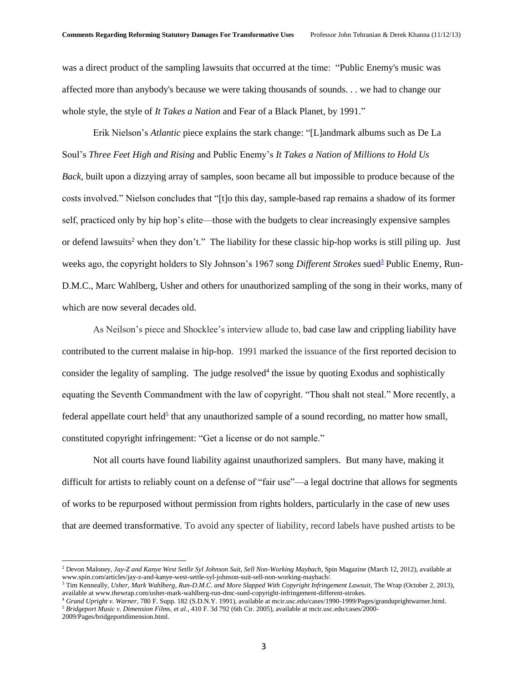was a direct product of the sampling lawsuits that occurred at the time: "Public Enemy's music was affected more than anybody's because we were taking thousands of sounds. . . we had to change our whole style, the style of *It Takes a Nation* and Fear of a Black Planet, by 1991."

Erik Nielson's *Atlantic* piece explains the stark change: "[L]andmark albums such as De La Soul's *Three Feet High and Rising* and Public Enemy's *It Takes a Nation of Millions to Hold Us Back,* built upon a dizzying array of samples, soon became all but impossible to produce because of the costs involved." Nielson concludes that "[t]o this day, sample-based rap remains a shadow of its former self, practiced only by hip hop's elite—those with the budgets to clear increasingly expensive samples or defend lawsuits<sup>2</sup> when they don't." The liability for these classic hip-hop works is still piling up. Just weeks ago, the copyright holders to Sly Johnson's 1967 song *Different Strokes* sued<sup>3</sup> Public Enemy, Run-D.M.C., Marc Wahlberg, Usher and others for unauthorized sampling of the song in their works, many of which are now several decades old.

As Neilson's piece and Shocklee's interview allude to, bad case law and crippling liability have contributed to the current malaise in hip-hop. 1991 marked the issuance of the first reported decision to consider the legality of sampling. The judge resolved<sup>4</sup> the issue by quoting Exodus and sophistically equating the Seventh Commandment with the law of copyright. "Thou shalt not steal." More recently, a federal appellate court held<sup>5</sup> that any unauthorized sample of a sound recording, no matter how small, constituted copyright infringement: "Get a license or do not sample."

Not all courts have found liability against unauthorized samplers. But many have, making it difficult for artists to reliably count on a defense of "fair use"—a legal doctrine that allows for segments of works to be repurposed without permission from rights holders, particularly in the case of new uses that are deemed transformative. To avoid any specter of liability, record labels have pushed artists to be

 $\overline{\phantom{a}}$ 

<sup>2</sup> Devon Maloney, *Jay-Z and Kanye West Setlle Syl Johnson Suit, Sell Non-Working Maybach*, Spin Magazine (March 12, 2012), available at www.spin.com/articles/jay-z-and-kanye-west-settle-syl-johnson-suit-sell-non-working-maybach/.

<sup>3</sup> Tim Kenneally, *Usher, Mark Wahlberg, Run-D.M.C. and More Slapped With Copyright Infringement Lawsuit,* The Wrap (October 2, 2013), available at www.thewrap.com/usher-mark-wahlberg-run-dmc-sued-copyright-infringement-different-strokes.

<sup>4</sup> *Grand Upright v. Warner*, 780 F. Supp. 182 (S.D.N.Y. 1991), available at mcir.usc.edu/cases/1990-1999/Pages/granduprightwarner.html. <sup>5</sup> *Bridgeport Music v. Dimension Films, et al.*, 410 F. 3d 792 (6th Cir. 2005), available at mcir.usc.edu/cases/2000-

<sup>2009/</sup>Pages/bridgeportdimension.html.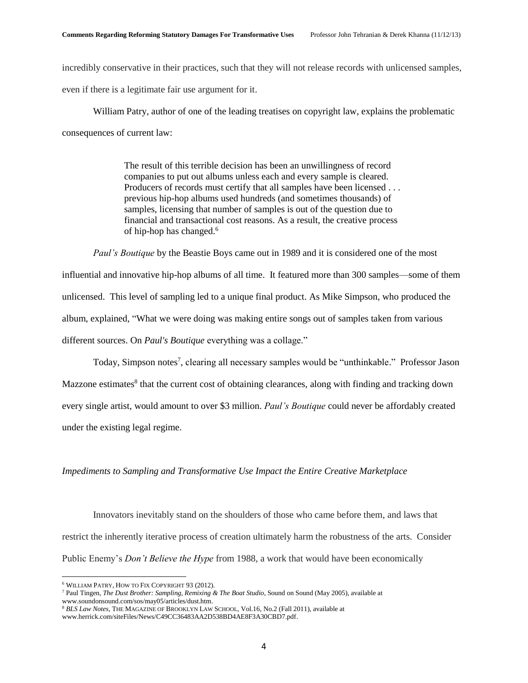incredibly conservative in their practices, such that they will not release records with unlicensed samples, even if there is a legitimate fair use argument for it.

William Patry, author of one of the leading treatises on copyright law, explains the problematic consequences of current law:

> The result of this terrible decision has been an unwillingness of record companies to put out albums unless each and every sample is cleared. Producers of records must certify that all samples have been licensed . . . previous hip-hop albums used hundreds (and sometimes thousands) of samples, licensing that number of samples is out of the question due to financial and transactional cost reasons. As a result, the creative process of hip-hop has changed.<sup>6</sup>

*Paul's Boutique* by the Beastie Boys came out in 1989 and it is considered one of the most influential and innovative hip-hop albums of all time. It featured more than 300 samples—some of them unlicensed. This level of sampling led to a unique final product. As Mike Simpson, who produced the album, explained, "What we were doing was making entire songs out of samples taken from various different sources. On *Paul's Boutique* everything was a collage."

Today, Simpson notes<sup>7</sup>, clearing all necessary samples would be "unthinkable." Professor Jason Mazzone estimates<sup>8</sup> that the current cost of obtaining clearances, along with finding and tracking down every single artist, would amount to over \$3 million. *Paul's Boutique* could never be affordably created under the existing legal regime.

### *Impediments to Sampling and Transformative Use Impact the Entire Creative Marketplace*

Innovators inevitably stand on the shoulders of those who came before them, and laws that restrict the inherently iterative process of creation ultimately harm the robustness of the arts. Consider Public Enemy's *Don't Believe the Hype* from 1988, a work that would have been economically

 $\overline{\phantom{a}}$ 

<sup>6</sup> WILLIAM PATRY, HOW TO FIX COPYRIGHT 93 (2012)*.*

<sup>7</sup> Paul Tingen, *The Dust Brother: Sampling, Remixing & The Boat Studio*, Sound on Sound (May 2005), available at www.soundonsound.com/sos/may05/articles/dust.htm.

<sup>8</sup> *BLS Law Notes*, THE MAGAZINE OF BROOKLYN LAW SCHOOL, Vol.16, No.2 (Fall 2011), available at www.herrick.com/siteFiles/News/C49CC36483AA2D538BD4AE8F3A30CBD7.pdf.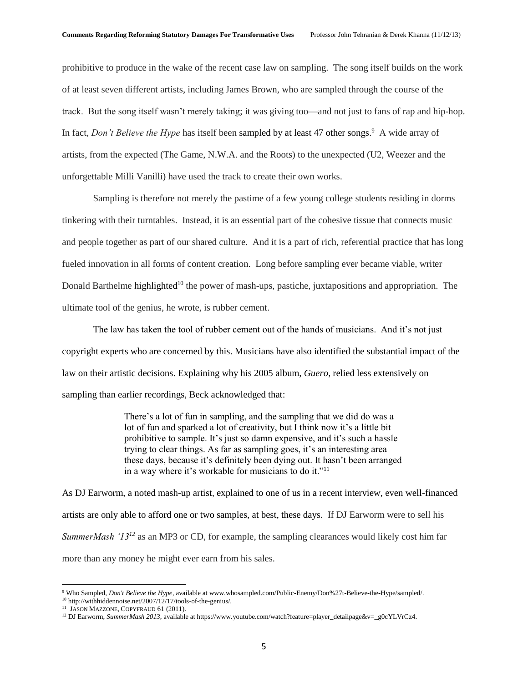prohibitive to produce in the wake of the recent case law on sampling. The song itself builds on the work of at least seven different artists, including James Brown, who are sampled through the course of the track. But the song itself wasn't merely taking; it was giving too—and not just to fans of rap and hip-hop. In fact, *Don't Believe the Hype* has itself been sampled by at least 47 other songs.<sup>9</sup> A wide array of artists, from the expected (The Game, N.W.A. and the Roots) to the unexpected (U2, Weezer and the unforgettable Milli Vanilli) have used the track to create their own works.

Sampling is therefore not merely the pastime of a few young college students residing in dorms tinkering with their turntables. Instead, it is an essential part of the cohesive tissue that connects music and people together as part of our shared culture. And it is a part of rich, referential practice that has long fueled innovation in all forms of content creation. Long before sampling ever became viable, writer Donald Barthelme highlighted<sup>10</sup> the power of mash-ups, pastiche, juxtapositions and appropriation. The ultimate tool of the genius, he wrote, is rubber cement.

The law has taken the tool of rubber cement out of the hands of musicians. And it's not just copyright experts who are concerned by this. Musicians have also identified the substantial impact of the law on their artistic decisions. Explaining why his 2005 album, *Guero*, relied less extensively on sampling than earlier recordings, Beck acknowledged that:

> There's a lot of fun in sampling, and the sampling that we did do was a lot of fun and sparked a lot of creativity, but I think now it's a little bit prohibitive to sample. It's just so damn expensive, and it's such a hassle trying to clear things. As far as sampling goes, it's an interesting area these days, because it's definitely been dying out. It hasn't been arranged in a way where it's workable for musicians to do it."<sup>11</sup>

As DJ Earworm, a noted mash-up artist, explained to one of us in a recent interview, even well-financed artists are only able to afford one or two samples, at best, these days. If DJ Earworm were to sell his *SummerMash '13<sup>12</sup>* as an MP3 or CD, for example, the sampling clearances would likely cost him far more than any money he might ever earn from his sales.

<sup>9</sup> Who Sampled, *Don't Believe the Hype*, available at www.whosampled.com/Public-Enemy/Don%27t-Believe-the-Hype/sampled/.

<sup>&</sup>lt;sup>10</sup> http://withhiddennoise.net/2007/12/17/tools-of-the-genius/.

<sup>&</sup>lt;sup>11</sup> JASON MAZZONE, COPYFRAUD 61 (2011).

<sup>&</sup>lt;sup>12</sup> DJ Earworm, *SummerMash 2013*, available at https://www.youtube.com/watch?feature=player\_detailpage&v=\_g0cYLVrCz4.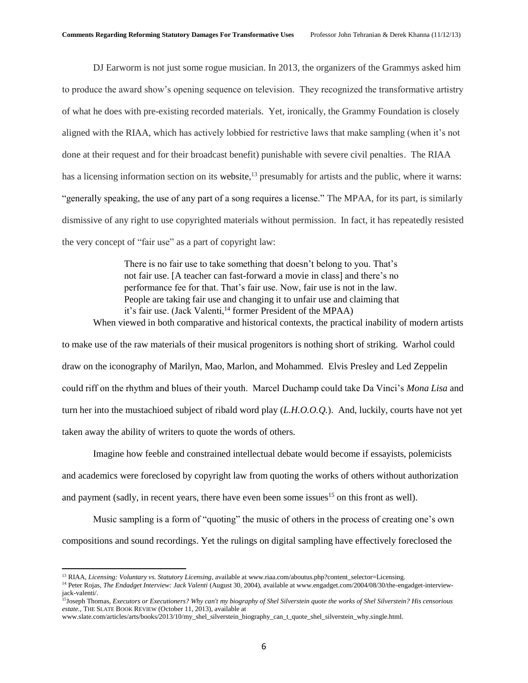DJ Earworm is not just some rogue musician. In 2013, the organizers of the Grammys asked him to produce the award show's opening sequence on television. They recognized the transformative artistry of what he does with pre-existing recorded materials. Yet, ironically, the Grammy Foundation is closely aligned with the RIAA, which has actively lobbied for restrictive laws that make sampling (when it's not done at their request and for their broadcast benefit) punishable with severe civil penalties. The RIAA has a licensing information section on its website,<sup>13</sup> presumably for artists and the public, where it warns: "generally speaking, the use of any part of a song requires a license." The MPAA, for its part, is similarly dismissive of any right to use copyrighted materials without permission. In fact, it has repeatedly resisted the very concept of "fair use" as a part of copyright law:

There is no fair use to take something that doesn't belong to you. That's not fair use. [A teacher can fast-forward a movie in class] and there's no performance fee for that. That's fair use. Now, fair use is not in the law. People are taking fair use and changing it to unfair use and claiming that it's fair use. (Jack Valenti,<sup>14</sup> former President of the MPAA) When viewed in both comparative and historical contexts, the practical inability of modern artists

to make use of the raw materials of their musical progenitors is nothing short of striking. Warhol could draw on the iconography of Marilyn, Mao, Marlon, and Mohammed. Elvis Presley and Led Zeppelin could riff on the rhythm and blues of their youth. Marcel Duchamp could take Da Vinci's *Mona Lisa* and turn her into the mustachioed subject of ribald word play (*L.H.O.O.Q.*). And, luckily, courts have not yet taken away the ability of writers to quote the words of others.

Imagine how feeble and constrained intellectual debate would become if essayists, polemicists and academics were foreclosed by copyright law from quoting the works of others without authorization and payment (sadly, in recent years, there have even been some issues<sup>15</sup> on this front as well).

Music sampling is a form of "quoting" the music of others in the process of creating one's own compositions and sound recordings. Yet the rulings on digital sampling have effectively foreclosed the

<sup>13</sup> RIAA, *Licensing: Voluntary vs. Statutory Licensing*, available at www.riaa.com/aboutus.php?content\_selector=Licensing.

<sup>&</sup>lt;sup>14</sup> Peter Rojas, *The Endadget Interview: Jack Valenti* (August 30, 2004), available at www.engadget.com/2004/08/30/the-engadget-interviewjack-valenti/.

<sup>15</sup>Joseph Thomas, *Executors or Executioners? Why can't my biography of Shel Silverstein quote the works of Shel Silverstein? His censorious estate.*, THE SLATE BOOK REVIEW (October 11, 2013), available at

www.slate.com/articles/arts/books/2013/10/my\_shel\_silverstein\_biography\_can\_t\_quote\_shel\_silverstein\_why.single.html.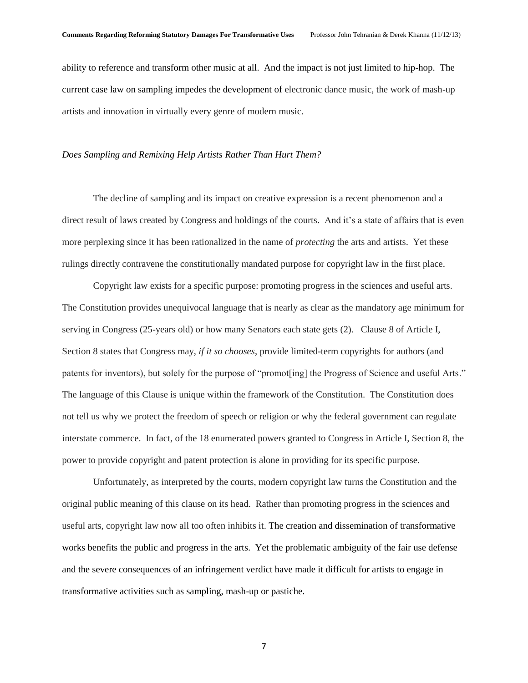ability to reference and transform other music at all. And the impact is not just limited to hip-hop. The current case law on sampling impedes the development of electronic dance music, the work of mash-up artists and innovation in virtually every genre of modern music.

#### *Does Sampling and Remixing Help Artists Rather Than Hurt Them?*

The decline of sampling and its impact on creative expression is a recent phenomenon and a direct result of laws created by Congress and holdings of the courts. And it's a state of affairs that is even more perplexing since it has been rationalized in the name of *protecting* the arts and artists. Yet these rulings directly contravene the constitutionally mandated purpose for copyright law in the first place.

Copyright law exists for a specific purpose: promoting progress in the sciences and useful arts. The Constitution provides unequivocal language that is nearly as clear as the mandatory age minimum for serving in Congress (25-years old) or how many Senators each state gets (2). Clause 8 of Article I, Section 8 states that Congress may, *if it so chooses*, provide limited-term copyrights for authors (and patents for inventors), but solely for the purpose of "promot[ing] the Progress of Science and useful Arts." The language of this Clause is unique within the framework of the Constitution. The Constitution does not tell us why we protect the freedom of speech or religion or why the federal government can regulate interstate commerce. In fact, of the 18 enumerated powers granted to Congress in Article I, Section 8, the power to provide copyright and patent protection is alone in providing for its specific purpose.

Unfortunately, as interpreted by the courts, modern copyright law turns the Constitution and the original public meaning of this clause on its head. Rather than promoting progress in the sciences and useful arts, copyright law now all too often inhibits it. The creation and dissemination of transformative works benefits the public and progress in the arts. Yet the problematic ambiguity of the fair use defense and the severe consequences of an infringement verdict have made it difficult for artists to engage in transformative activities such as sampling, mash-up or pastiche.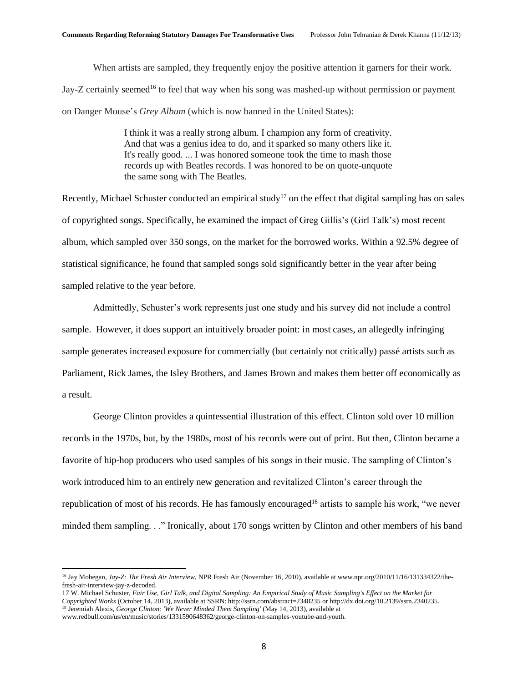When artists are sampled, they frequently enjoy the positive attention it garners for their work. Jay-Z certainly seemed<sup>16</sup> to feel that way when his song was mashed-up without permission or payment on Danger Mouse's *Grey Album* (which is now banned in the United States):

> I think it was a really strong album. I champion any form of creativity. And that was a genius idea to do, and it sparked so many others like it. It's really good. ... I was honored someone took the time to mash those records up with Beatles records. I was honored to be on quote-unquote the same song with The Beatles.

Recently, Michael Schuster conducted an empirical study<sup>17</sup> on the effect that digital sampling has on sales of copyrighted songs. Specifically, he examined the impact of Greg Gillis's (Girl Talk's) most recent album, which sampled over 350 songs, on the market for the borrowed works. Within a 92.5% degree of statistical significance, he found that sampled songs sold significantly better in the year after being sampled relative to the year before.

Admittedly, Schuster's work represents just one study and his survey did not include a control sample. However, it does support an intuitively broader point: in most cases, an allegedly infringing sample generates increased exposure for commercially (but certainly not critically) passé artists such as Parliament, Rick James, the Isley Brothers, and James Brown and makes them better off economically as a result.

George Clinton provides a quintessential illustration of this effect. Clinton sold over 10 million records in the 1970s, but, by the 1980s, most of his records were out of print. But then, Clinton became a favorite of hip-hop producers who used samples of his songs in their music. The sampling of Clinton's work introduced him to an entirely new generation and revitalized Clinton's career through the republication of most of his records. He has famously encouraged<sup>18</sup> artists to sample his work, "we never minded them sampling. . ." Ironically, about 170 songs written by Clinton and other members of his band

<sup>16</sup> Jay Mohegan, *Jay-Z: The Fresh Air Interview*, NPR Fresh Air (November 16, 2010), available at www.npr.org/2010/11/16/131334322/thefresh-air-interview-jay-z-decoded.

<sup>17</sup> W. Michael Schuster, *Fair Use, Girl Talk, and Digital Sampling: An Empirical Study of Music Sampling's Effect on the Market for Copyrighted Works* (October 14, 2013), available at SSRN: http://ssrn.com/abstract=2340235 or http://dx.doi.org/10.2139/ssrn.2340235. <sup>18</sup> Jeremiah Alexis, *George Clinton: 'We Never Minded Them Sampling'* (May 14, 2013), available at

www.redbull.com/us/en/music/stories/1331590648362/george-clinton-on-samples-youtube-and-youth.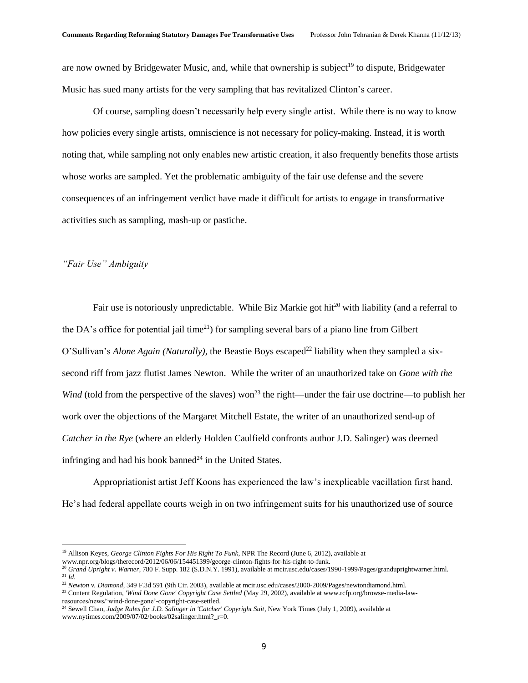are now owned by Bridgewater Music, and, while that ownership is subject<sup>19</sup> to dispute, Bridgewater Music has sued many artists for the very sampling that has revitalized Clinton's career.

Of course, sampling doesn't necessarily help every single artist. While there is no way to know how policies every single artists, omniscience is not necessary for policy-making. Instead, it is worth noting that, while sampling not only enables new artistic creation, it also frequently benefits those artists whose works are sampled. Yet the problematic ambiguity of the fair use defense and the severe consequences of an infringement verdict have made it difficult for artists to engage in transformative activities such as sampling, mash-up or pastiche.

#### *"Fair Use" Ambiguity*

 $\overline{\phantom{a}}$ 

Fair use is notoriously unpredictable. While Biz Markie got hit<sup>20</sup> with liability (and a referral to the DA's office for potential jail time<sup>21</sup>) for sampling several bars of a piano line from Gilbert O'Sullivan's *Alone Again (Naturally)*, the Beastie Boys escaped<sup>22</sup> liability when they sampled a sixsecond riff from jazz flutist James Newton. While the writer of an unauthorized take on *Gone with the Wind* (told from the perspective of the slaves) won<sup>23</sup> the right—under the fair use doctrine—to publish her work over the objections of the Margaret Mitchell Estate, the writer of an unauthorized send-up of *Catcher in the Rye* (where an elderly Holden Caulfield confronts author J.D. Salinger) was deemed infringing and had his book banned<sup>24</sup> in the United States.

Appropriationist artist Jeff Koons has experienced the law's inexplicable vacillation first hand. He's had federal appellate courts weigh in on two infringement suits for his unauthorized use of source

<sup>19</sup> Allison Keyes, *George Clinton Fights For His Right To Funk*, NPR The Record (June 6, 2012), available at www.npr.org/blogs/therecord/2012/06/06/154451399/george-clinton-fights-for-his-right-to-funk.

<sup>20</sup> *Grand Upright v. Warner*, 780 F. Supp. 182 (S.D.N.Y. 1991), available at mcir.usc.edu/cases/1990-1999/Pages/granduprightwarner.html.

<sup>21</sup> *Id.* 

<sup>&</sup>lt;sup>22</sup> Newton v. Diamond, 349 F.3d 591 (9th Cir. 2003), available at mcir.usc.edu/cases/2000-2009/Pages/newtondiamond.html.

<sup>23</sup> Content Regulation, *'Wind Done Gone' Copyright Case Settled* (May 29, 2002), available at www.rcfp.org/browse-media-lawresources/news/'wind-done-gone'-copyright-case-settled.

<sup>24</sup> Sewell Chan, *Judge Rules for J.D. Salinger in 'Catcher' Copyright Suit*, New York Times (July 1, 2009), available at www.nytimes.com/2009/07/02/books/02salinger.html?\_r=0.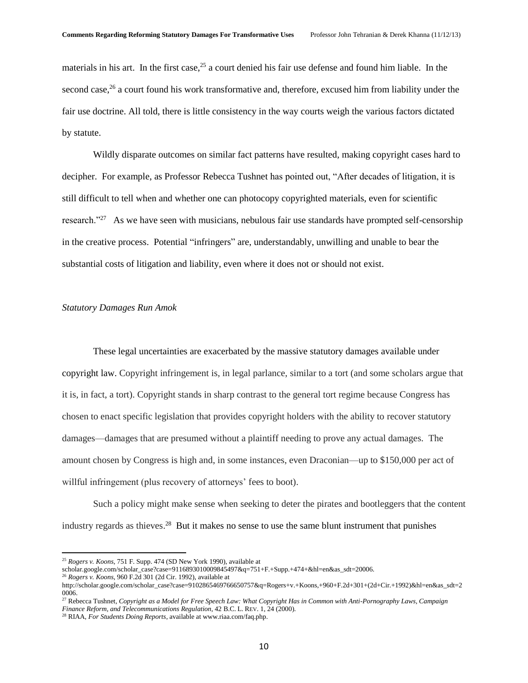materials in his art. In the first case,  $25$  a court denied his fair use defense and found him liable. In the second case, $26$  a court found his work transformative and, therefore, excused him from liability under the fair use doctrine. All told, there is little consistency in the way courts weigh the various factors dictated by statute.

Wildly disparate outcomes on similar fact patterns have resulted, making copyright cases hard to decipher. For example, as Professor Rebecca Tushnet has pointed out, "After decades of litigation, it is still difficult to tell when and whether one can photocopy copyrighted materials, even for scientific research."<sup>27</sup> As we have seen with musicians, nebulous fair use standards have prompted self-censorship in the creative process. Potential "infringers" are, understandably, unwilling and unable to bear the substantial costs of litigation and liability, even where it does not or should not exist.

#### *Statutory Damages Run Amok*

These legal uncertainties are exacerbated by the massive statutory damages available under copyright law. Copyright infringement is, in legal parlance, similar to a tort (and some scholars argue that it is, in fact, a tort). Copyright stands in sharp contrast to the general tort regime because Congress has chosen to enact specific legislation that provides copyright holders with the ability to recover statutory damages—damages that are presumed without a plaintiff needing to prove any actual damages. The amount chosen by Congress is high and, in some instances, even Draconian—up to \$150,000 per act of willful infringement (plus recovery of attorneys' fees to boot).

Such a policy might make sense when seeking to deter the pirates and bootleggers that the content industry regards as thieves. <sup>28</sup> But it makes no sense to use the same blunt instrument that punishes

<sup>25</sup> *Rogers v. Koons*, 751 F. Supp. 474 (SD New York 1990), available at

scholar.google.com/scholar\_case?case=9116893010009845497&q=751+F.+Supp.+474+&hl=en&as\_sdt=20006. <sup>26</sup> *Rogers v. Koons*, 960 F.2d 301 (2d Cir. 1992), available at

http://scholar.google.com/scholar\_case?case=9102865469766650757&q=Rogers+v.+Koons,+960+F.2d+301+(2d+Cir.+1992)&hl=en&as\_sdt=2 0006.

<sup>27</sup> Rebecca Tushnet, *Copyright as a Model for Free Speech Law: What Copyright Has in Common with Anti-Pornography Laws, Campaign Finance Reform, and Telecommunications Regulation*, 42 B.C. L. REV. 1, 24 (2000).

<sup>28</sup> RIAA, *For Students Doing Reports*, available at www.riaa.com/faq.php.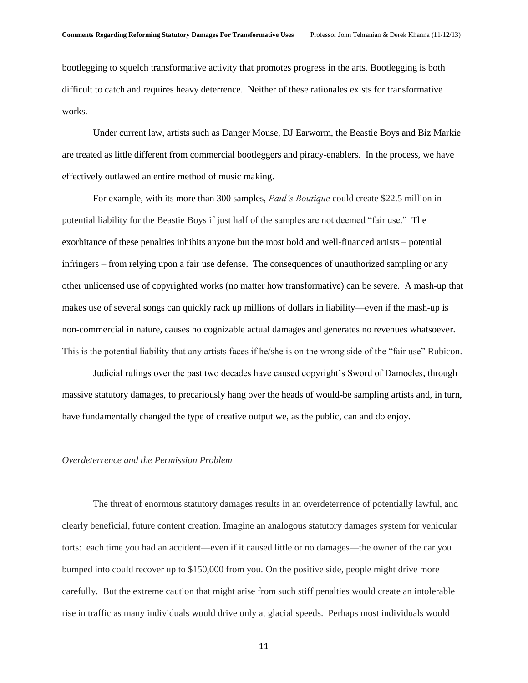bootlegging to squelch transformative activity that promotes progress in the arts. Bootlegging is both difficult to catch and requires heavy deterrence. Neither of these rationales exists for transformative works.

Under current law, artists such as Danger Mouse, DJ Earworm, the Beastie Boys and Biz Markie are treated as little different from commercial bootleggers and piracy-enablers. In the process, we have effectively outlawed an entire method of music making.

For example, with its more than 300 samples, *Paul's Boutique* could create \$22.5 million in potential liability for the Beastie Boys if just half of the samples are not deemed "fair use." The exorbitance of these penalties inhibits anyone but the most bold and well-financed artists – potential infringers – from relying upon a fair use defense. The consequences of unauthorized sampling or any other unlicensed use of copyrighted works (no matter how transformative) can be severe. A mash-up that makes use of several songs can quickly rack up millions of dollars in liability—even if the mash-up is non-commercial in nature, causes no cognizable actual damages and generates no revenues whatsoever. This is the potential liability that any artists faces if he/she is on the wrong side of the "fair use" Rubicon.

Judicial rulings over the past two decades have caused copyright's Sword of Damocles, through massive statutory damages, to precariously hang over the heads of would-be sampling artists and, in turn, have fundamentally changed the type of creative output we, as the public, can and do enjoy.

### *Overdeterrence and the Permission Problem*

The threat of enormous statutory damages results in an overdeterrence of potentially lawful, and clearly beneficial, future content creation. Imagine an analogous statutory damages system for vehicular torts: each time you had an accident—even if it caused little or no damages—the owner of the car you bumped into could recover up to \$150,000 from you. On the positive side, people might drive more carefully. But the extreme caution that might arise from such stiff penalties would create an intolerable rise in traffic as many individuals would drive only at glacial speeds. Perhaps most individuals would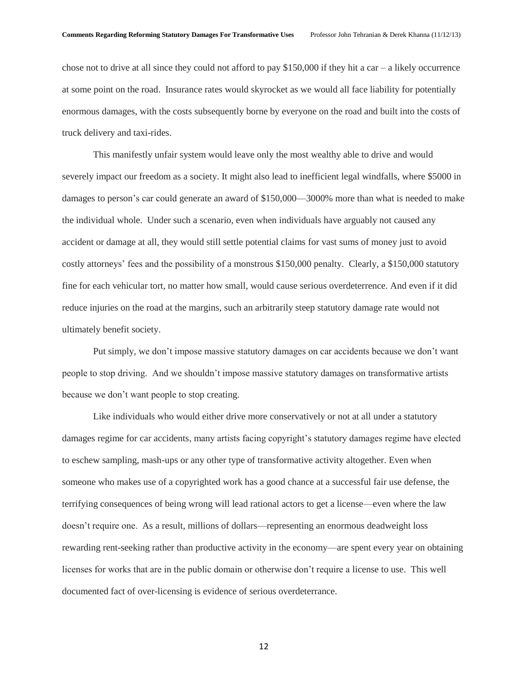chose not to drive at all since they could not afford to pay \$150,000 if they hit a car – a likely occurrence at some point on the road. Insurance rates would skyrocket as we would all face liability for potentially enormous damages, with the costs subsequently borne by everyone on the road and built into the costs of truck delivery and taxi-rides.

This manifestly unfair system would leave only the most wealthy able to drive and would severely impact our freedom as a society. It might also lead to inefficient legal windfalls, where \$5000 in damages to person's car could generate an award of \$150,000—3000% more than what is needed to make the individual whole. Under such a scenario, even when individuals have arguably not caused any accident or damage at all, they would still settle potential claims for vast sums of money just to avoid costly attorneys' fees and the possibility of a monstrous \$150,000 penalty. Clearly, a \$150,000 statutory fine for each vehicular tort, no matter how small, would cause serious overdeterrence. And even if it did reduce injuries on the road at the margins, such an arbitrarily steep statutory damage rate would not ultimately benefit society.

Put simply, we don't impose massive statutory damages on car accidents because we don't want people to stop driving. And we shouldn't impose massive statutory damages on transformative artists because we don't want people to stop creating.

Like individuals who would either drive more conservatively or not at all under a statutory damages regime for car accidents, many artists facing copyright's statutory damages regime have elected to eschew sampling, mash-ups or any other type of transformative activity altogether. Even when someone who makes use of a copyrighted work has a good chance at a successful fair use defense, the terrifying consequences of being wrong will lead rational actors to get a license—even where the law doesn't require one. As a result, millions of dollars—representing an enormous deadweight loss rewarding rent-seeking rather than productive activity in the economy—are spent every year on obtaining licenses for works that are in the public domain or otherwise don't require a license to use. This well documented fact of over-licensing is evidence of serious overdeterrance.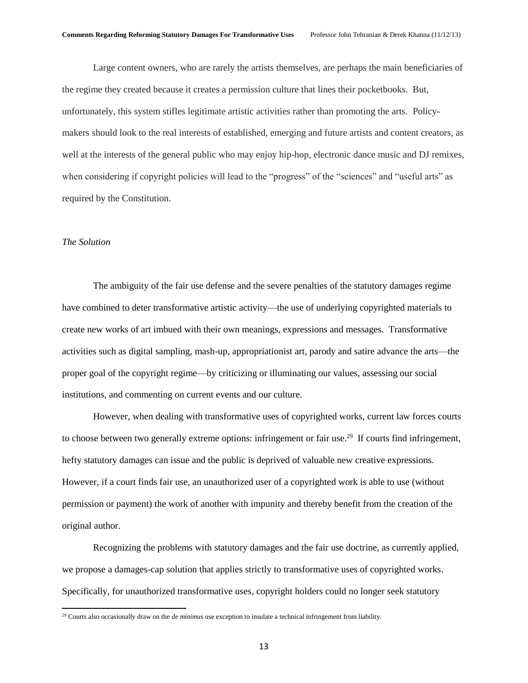Large content owners, who are rarely the artists themselves, are perhaps the main beneficiaries of the regime they created because it creates a permission culture that lines their pocketbooks. But, unfortunately, this system stifles legitimate artistic activities rather than promoting the arts. Policymakers should look to the real interests of established, emerging and future artists and content creators, as well at the interests of the general public who may enjoy hip-hop, electronic dance music and DJ remixes, when considering if copyright policies will lead to the "progress" of the "sciences" and "useful arts" as required by the Constitution.

## *The Solution*

 $\overline{\phantom{a}}$ 

The ambiguity of the fair use defense and the severe penalties of the statutory damages regime have combined to deter transformative artistic activity—the use of underlying copyrighted materials to create new works of art imbued with their own meanings, expressions and messages. Transformative activities such as digital sampling, mash-up, appropriationist art, parody and satire advance the arts—the proper goal of the copyright regime—by criticizing or illuminating our values, assessing our social institutions, and commenting on current events and our culture.

However, when dealing with transformative uses of copyrighted works, current law forces courts to choose between two generally extreme options: infringement or fair use.<sup>29</sup> If courts find infringement, hefty statutory damages can issue and the public is deprived of valuable new creative expressions. However, if a court finds fair use, an unauthorized user of a copyrighted work is able to use (without permission or payment) the work of another with impunity and thereby benefit from the creation of the original author.

Recognizing the problems with statutory damages and the fair use doctrine, as currently applied, we propose a damages-cap solution that applies strictly to transformative uses of copyrighted works. Specifically, for unauthorized transformative uses, copyright holders could no longer seek statutory

<sup>29</sup> Courts also occasionally draw on the *de minimus* use exception to insulate a technical infringement from liability.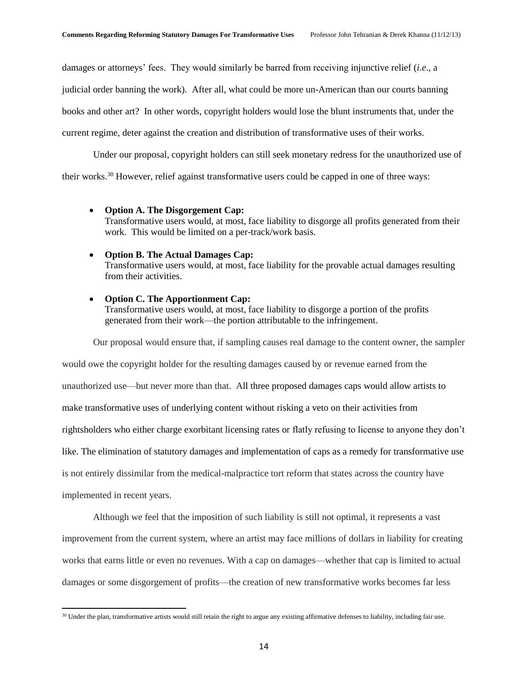damages or attorneys' fees. They would similarly be barred from receiving injunctive relief (*i.e*., a

judicial order banning the work). After all, what could be more un-American than our courts banning

books and other art? In other words, copyright holders would lose the blunt instruments that, under the

current regime, deter against the creation and distribution of transformative uses of their works.

Under our proposal, copyright holders can still seek monetary redress for the unauthorized use of

their works.<sup>30</sup> However, relief against transformative users could be capped in one of three ways:

- **Option A. The Disgorgement Cap:** Transformative users would, at most, face liability to disgorge all profits generated from their work. This would be limited on a per-track/work basis.
- **Option B. The Actual Damages Cap:** Transformative users would, at most, face liability for the provable actual damages resulting from their activities.

#### **Option C. The Apportionment Cap:**

 $\overline{\phantom{a}}$ 

Transformative users would, at most, face liability to disgorge a portion of the profits generated from their work—the portion attributable to the infringement.

Our proposal would ensure that, if sampling causes real damage to the content owner, the sampler would owe the copyright holder for the resulting damages caused by or revenue earned from the unauthorized use—but never more than that. All three proposed damages caps would allow artists to make transformative uses of underlying content without risking a veto on their activities from rightsholders who either charge exorbitant licensing rates or flatly refusing to license to anyone they don't like. The elimination of statutory damages and implementation of caps as a remedy for transformative use is not entirely dissimilar from the medical-malpractice tort reform that states across the country have implemented in recent years.

Although we feel that the imposition of such liability is still not optimal, it represents a vast improvement from the current system, where an artist may face millions of dollars in liability for creating works that earns little or even no revenues. With a cap on damages—whether that cap is limited to actual damages or some disgorgement of profits—the creation of new transformative works becomes far less

<sup>&</sup>lt;sup>30</sup> Under the plan, transformative artists would still retain the right to argue any existing affirmative defenses to liability, including fair use.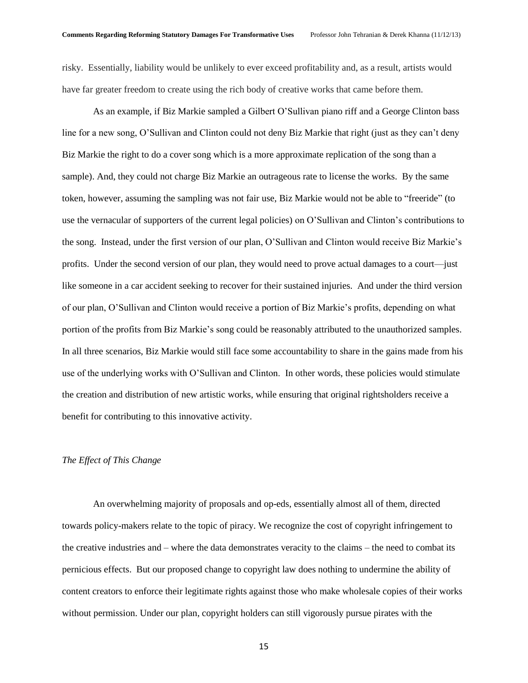risky. Essentially, liability would be unlikely to ever exceed profitability and, as a result, artists would have far greater freedom to create using the rich body of creative works that came before them.

As an example, if Biz Markie sampled a Gilbert O'Sullivan piano riff and a George Clinton bass line for a new song, O'Sullivan and Clinton could not deny Biz Markie that right (just as they can't deny Biz Markie the right to do a cover song which is a more approximate replication of the song than a sample). And, they could not charge Biz Markie an outrageous rate to license the works. By the same token, however, assuming the sampling was not fair use, Biz Markie would not be able to "freeride" (to use the vernacular of supporters of the current legal policies) on O'Sullivan and Clinton's contributions to the song. Instead, under the first version of our plan, O'Sullivan and Clinton would receive Biz Markie's profits. Under the second version of our plan, they would need to prove actual damages to a court—just like someone in a car accident seeking to recover for their sustained injuries. And under the third version of our plan, O'Sullivan and Clinton would receive a portion of Biz Markie's profits, depending on what portion of the profits from Biz Markie's song could be reasonably attributed to the unauthorized samples. In all three scenarios, Biz Markie would still face some accountability to share in the gains made from his use of the underlying works with O'Sullivan and Clinton. In other words, these policies would stimulate the creation and distribution of new artistic works, while ensuring that original rightsholders receive a benefit for contributing to this innovative activity.

## *The Effect of This Change*

An overwhelming majority of proposals and op-eds, essentially almost all of them, directed towards policy-makers relate to the topic of piracy. We recognize the cost of copyright infringement to the creative industries and – where the data demonstrates veracity to the claims – the need to combat its pernicious effects. But our proposed change to copyright law does nothing to undermine the ability of content creators to enforce their legitimate rights against those who make wholesale copies of their works without permission. Under our plan, copyright holders can still vigorously pursue pirates with the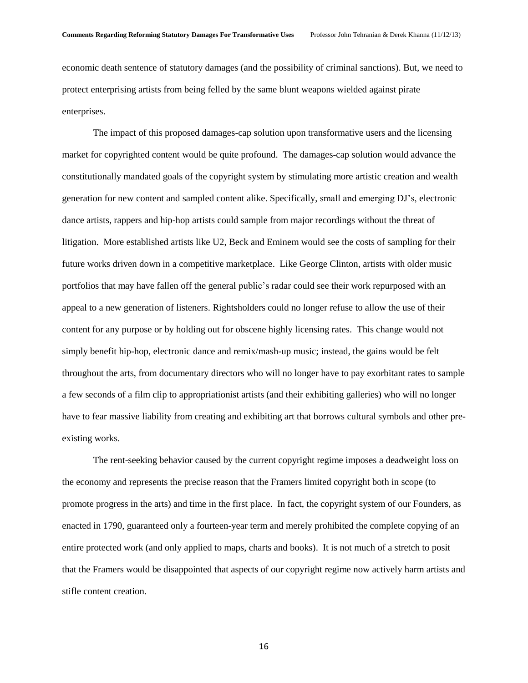economic death sentence of statutory damages (and the possibility of criminal sanctions). But, we need to protect enterprising artists from being felled by the same blunt weapons wielded against pirate enterprises.

The impact of this proposed damages-cap solution upon transformative users and the licensing market for copyrighted content would be quite profound. The damages-cap solution would advance the constitutionally mandated goals of the copyright system by stimulating more artistic creation and wealth generation for new content and sampled content alike. Specifically, small and emerging DJ's, electronic dance artists, rappers and hip-hop artists could sample from major recordings without the threat of litigation. More established artists like U2, Beck and Eminem would see the costs of sampling for their future works driven down in a competitive marketplace. Like George Clinton, artists with older music portfolios that may have fallen off the general public's radar could see their work repurposed with an appeal to a new generation of listeners. Rightsholders could no longer refuse to allow the use of their content for any purpose or by holding out for obscene highly licensing rates. This change would not simply benefit hip-hop, electronic dance and remix/mash-up music; instead, the gains would be felt throughout the arts, from documentary directors who will no longer have to pay exorbitant rates to sample a few seconds of a film clip to appropriationist artists (and their exhibiting galleries) who will no longer have to fear massive liability from creating and exhibiting art that borrows cultural symbols and other preexisting works.

The rent-seeking behavior caused by the current copyright regime imposes a deadweight loss on the economy and represents the precise reason that the Framers limited copyright both in scope (to promote progress in the arts) and time in the first place. In fact, the copyright system of our Founders, as enacted in 1790, guaranteed only a fourteen-year term and merely prohibited the complete copying of an entire protected work (and only applied to maps, charts and books). It is not much of a stretch to posit that the Framers would be disappointed that aspects of our copyright regime now actively harm artists and stifle content creation.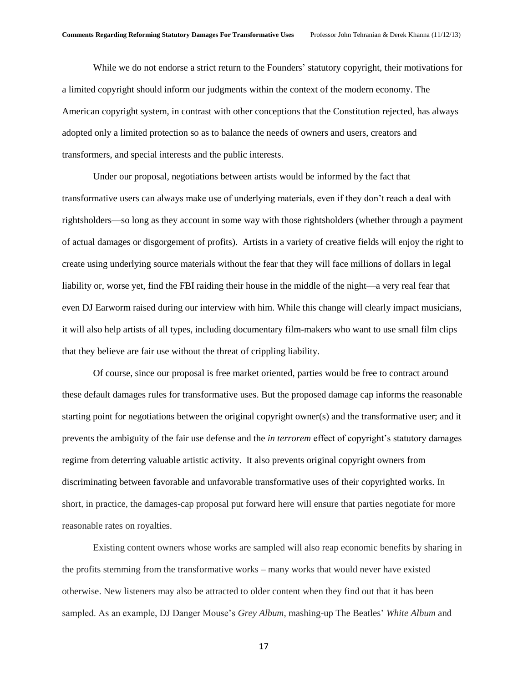While we do not endorse a strict return to the Founders' statutory copyright, their motivations for a limited copyright should inform our judgments within the context of the modern economy. The American copyright system, in contrast with other conceptions that the Constitution rejected, has always adopted only a limited protection so as to balance the needs of owners and users, creators and transformers, and special interests and the public interests.

Under our proposal, negotiations between artists would be informed by the fact that transformative users can always make use of underlying materials, even if they don't reach a deal with rightsholders—so long as they account in some way with those rightsholders (whether through a payment of actual damages or disgorgement of profits). Artists in a variety of creative fields will enjoy the right to create using underlying source materials without the fear that they will face millions of dollars in legal liability or, worse yet, find the FBI raiding their house in the middle of the night—a very real fear that even DJ Earworm raised during our interview with him. While this change will clearly impact musicians, it will also help artists of all types, including documentary film-makers who want to use small film clips that they believe are fair use without the threat of crippling liability.

Of course, since our proposal is free market oriented, parties would be free to contract around these default damages rules for transformative uses. But the proposed damage cap informs the reasonable starting point for negotiations between the original copyright owner(s) and the transformative user; and it prevents the ambiguity of the fair use defense and the *in terrorem* effect of copyright's statutory damages regime from deterring valuable artistic activity. It also prevents original copyright owners from discriminating between favorable and unfavorable transformative uses of their copyrighted works. In short, in practice, the damages-cap proposal put forward here will ensure that parties negotiate for more reasonable rates on royalties.

Existing content owners whose works are sampled will also reap economic benefits by sharing in the profits stemming from the transformative works – many works that would never have existed otherwise. New listeners may also be attracted to older content when they find out that it has been sampled. As an example, DJ Danger Mouse's *Grey Album*, mashing-up The Beatles' *White Album* and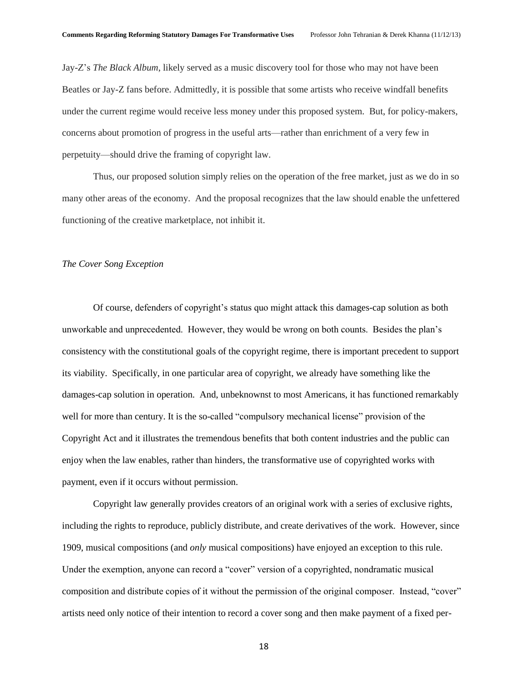Jay-Z's *The Black Album*, likely served as a music discovery tool for those who may not have been Beatles or Jay-Z fans before. Admittedly, it is possible that some artists who receive windfall benefits under the current regime would receive less money under this proposed system. But, for policy-makers, concerns about promotion of progress in the useful arts—rather than enrichment of a very few in perpetuity—should drive the framing of copyright law.

Thus, our proposed solution simply relies on the operation of the free market, just as we do in so many other areas of the economy. And the proposal recognizes that the law should enable the unfettered functioning of the creative marketplace, not inhibit it.

#### *The Cover Song Exception*

Of course, defenders of copyright's status quo might attack this damages-cap solution as both unworkable and unprecedented. However, they would be wrong on both counts. Besides the plan's consistency with the constitutional goals of the copyright regime, there is important precedent to support its viability. Specifically, in one particular area of copyright, we already have something like the damages-cap solution in operation. And, unbeknownst to most Americans, it has functioned remarkably well for more than century. It is the so-called "compulsory mechanical license" provision of the Copyright Act and it illustrates the tremendous benefits that both content industries and the public can enjoy when the law enables, rather than hinders, the transformative use of copyrighted works with payment, even if it occurs without permission.

Copyright law generally provides creators of an original work with a series of exclusive rights, including the rights to reproduce, publicly distribute, and create derivatives of the work. However, since 1909, musical compositions (and *only* musical compositions) have enjoyed an exception to this rule. Under the exemption, anyone can record a "cover" version of a copyrighted, nondramatic musical composition and distribute copies of it without the permission of the original composer. Instead, "cover" artists need only notice of their intention to record a cover song and then make payment of a fixed per-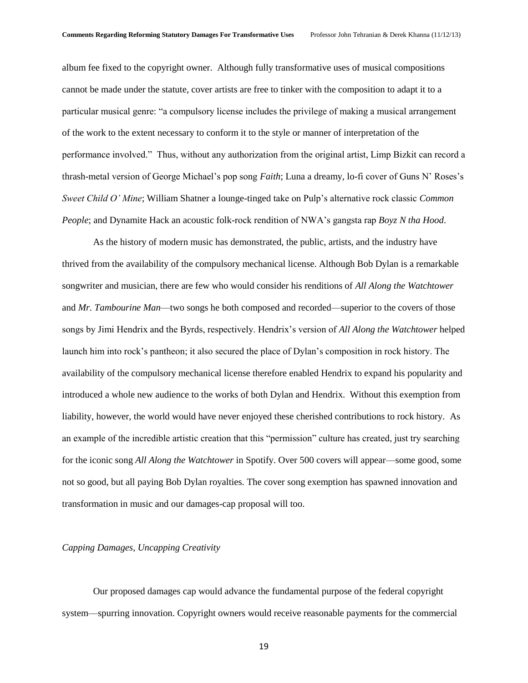album fee fixed to the copyright owner. Although fully transformative uses of musical compositions cannot be made under the statute, cover artists are free to tinker with the composition to adapt it to a particular musical genre: "a compulsory license includes the privilege of making a musical arrangement of the work to the extent necessary to conform it to the style or manner of interpretation of the performance involved." Thus, without any authorization from the original artist, Limp Bizkit can record a thrash-metal version of George Michael's pop song *Faith*; Luna a dreamy, lo-fi cover of Guns N' Roses's *Sweet Child O' Mine*; William Shatner a lounge-tinged take on Pulp's alternative rock classic *Common People*; and Dynamite Hack an acoustic folk-rock rendition of NWA's gangsta rap *Boyz N tha Hood*.

As the history of modern music has demonstrated, the public, artists, and the industry have thrived from the availability of the compulsory mechanical license. Although Bob Dylan is a remarkable songwriter and musician, there are few who would consider his renditions of *All Along the Watchtower* and *Mr. Tambourine Man*—two songs he both composed and recorded—superior to the covers of those songs by Jimi Hendrix and the Byrds, respectively. Hendrix's version of *All Along the Watchtower* helped launch him into rock's pantheon; it also secured the place of Dylan's composition in rock history. The availability of the compulsory mechanical license therefore enabled Hendrix to expand his popularity and introduced a whole new audience to the works of both Dylan and Hendrix. Without this exemption from liability, however, the world would have never enjoyed these cherished contributions to rock history. As an example of the incredible artistic creation that this "permission" culture has created, just try searching for the iconic song *All Along the Watchtower* in Spotify. Over 500 covers will appear—some good, some not so good, but all paying Bob Dylan royalties. The cover song exemption has spawned innovation and transformation in music and our damages-cap proposal will too.

### *Capping Damages, Uncapping Creativity*

Our proposed damages cap would advance the fundamental purpose of the federal copyright system—spurring innovation. Copyright owners would receive reasonable payments for the commercial